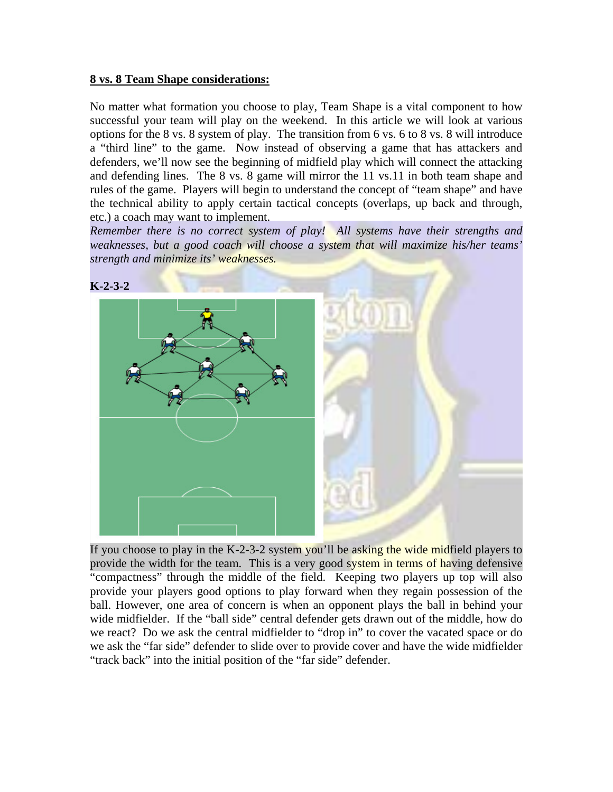## **8 vs. 8 Team Shape considerations:**

No matter what formation you choose to play, Team Shape is a vital component to how successful your team will play on the weekend. In this article we will look at various options for the 8 vs. 8 system of play. The transition from 6 vs. 6 to 8 vs. 8 will introduce a "third line" to the game. Now instead of observing a game that has attackers and defenders, we'll now see the beginning of midfield play which will connect the attacking and defending lines. The 8 vs. 8 game will mirror the 11 vs.11 in both team shape and rules of the game. Players will begin to understand the concept of "team shape" and have the technical ability to apply certain tactical concepts (overlaps, up back and through, etc.) a coach may want to implement.

*Remember there is no correct system of play! All systems have their strengths and weaknesses, but a good coach will choose a system that will maximize his/her teams' strength and minimize its' weaknesses.* 



If you choose to play in the K-2-3-2 system you'll be asking the wide midfield players to provide the width for the team. This is a very good system in terms of having defensive "compactness" through the middle of the field. Keeping two players up top will also provide your players good options to play forward when they regain possession of the ball. However, one area of concern is when an opponent plays the ball in behind your wide midfielder. If the "ball side" central defender gets drawn out of the middle, how do we react? Do we ask the central midfielder to "drop in" to cover the vacated space or do we ask the "far side" defender to slide over to provide cover and have the wide midfielder "track back" into the initial position of the "far side" defender.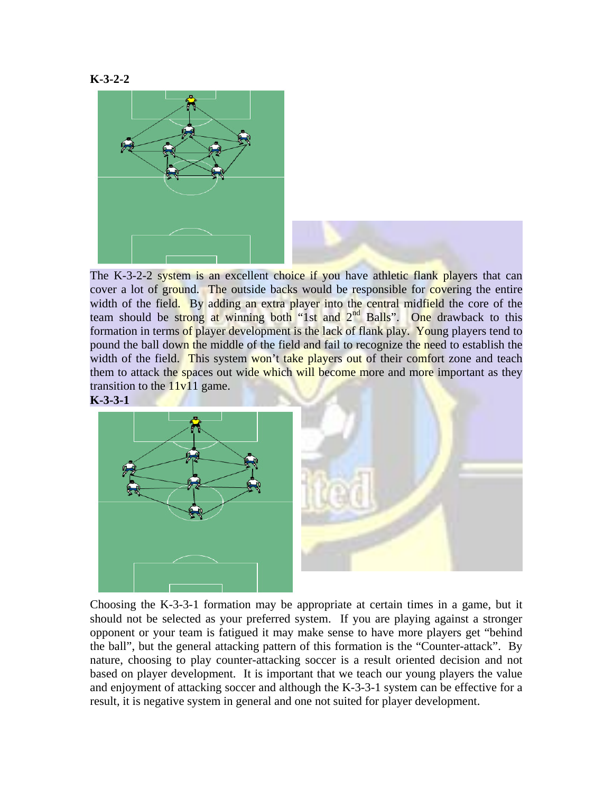



The K-3-2-2 system is an excellent choice if you have athletic flank players that can cover a lot of ground. The outside backs would be responsible for covering the entire width of the field. By adding an extra player into the central midfield the core of the team should be strong at winning both "1st and 2<sup>nd</sup> Balls". One drawback to this formation in terms of player development is the lack of flank play. Young players tend to pound the ball down the middle of the field and fail to recognize the need to establish the width of the field. This system won't take players out of their comfort zone and teach them to attack the spaces out wide which will become more and more important as they transition to the  $11v11$  game.





 Choosing the K-3-3-1 formation may be appropriate at certain times in a game, but it should not be selected as your preferred system. If you are playing against a stronger opponent or your team is fatigued it may make sense to have more players get "behind the ball", but the general attacking pattern of this formation is the "Counter-attack". By nature, choosing to play counter-attacking soccer is a result oriented decision and not based on player development. It is important that we teach our young players the value and enjoyment of attacking soccer and although the K-3-3-1 system can be effective for a result, it is negative system in general and one not suited for player development.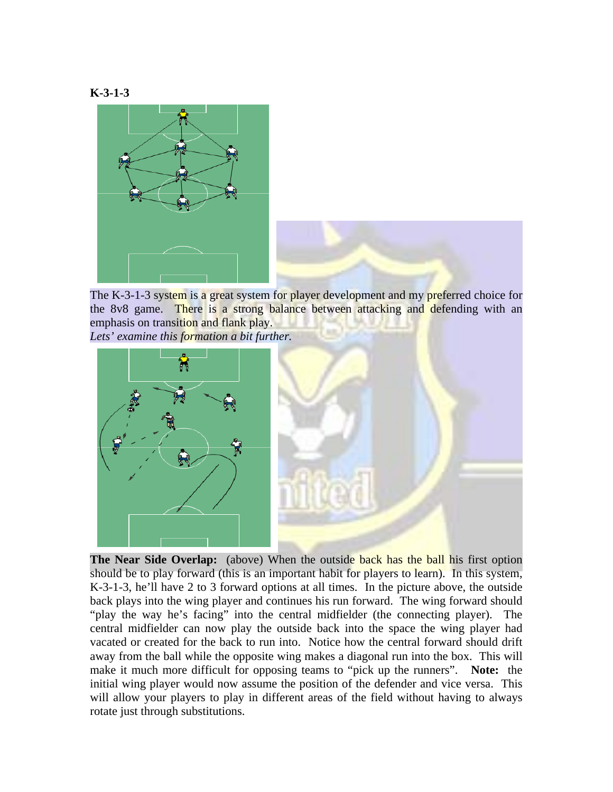





The K-3-1-3 system is a great system for player development and my preferred choice for the 8v8 game. There is a strong balance between attacking and defending with an emphasis on transition and flank play.

*Lets' examine this formation a bit further.*



**The Near Side Overlap:** (above) When the outside back has the ball his first option should be to play forward (this is an important habit for players to learn). In this system, K-3-1-3, he'll have 2 to 3 forward options at all times. In the picture above, the outside back plays into the wing player and continues his run forward. The wing forward should "play the way he's facing" into the central midfielder (the connecting player). The central midfielder can now play the outside back into the space the wing player had vacated or created for the back to run into. Notice how the central forward should drift away from the ball while the opposite wing makes a diagonal run into the box. This will make it much more difficult for opposing teams to "pick up the runners". **Note:** the initial wing player would now assume the position of the defender and vice versa. This will allow your players to play in different areas of the field without having to always rotate just through substitutions.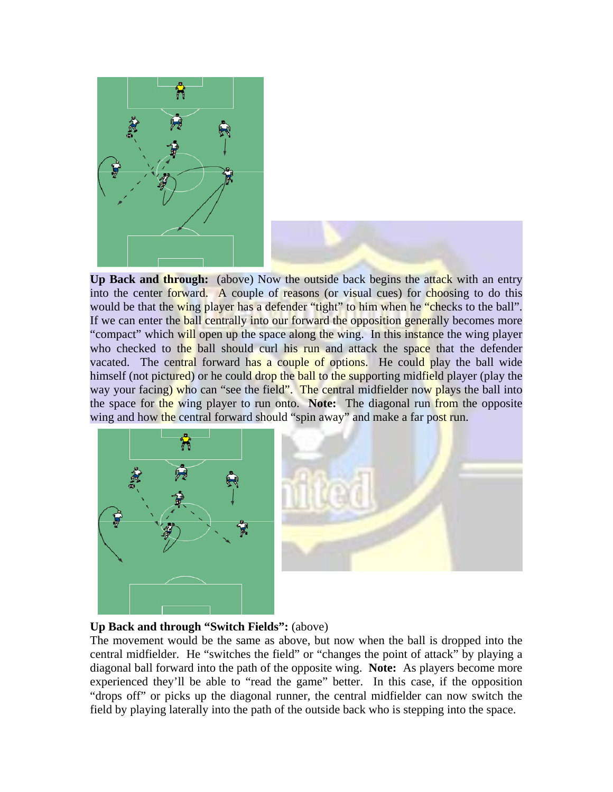

**Up Back and through:** (above) Now the outside back begins the attack with an entry into the center forward. A couple of reasons (or visual cues) for choosing to do this would be that the wing player has a defender "tight" to him when he "checks to the ball". If we can enter the **ball centrally into our forward the opposition generally becomes more** "compact" which will open up the space along the wing. In this instance the wing player who checked to the ball should curl his run and attack the space that the defender vacated. The central forward has a couple of options. He could play the ball wide himself (not pictured) or he could drop the ball to the supporting midfield player (play the way your facing) who can "see the field". The central midfielder now plays the ball into the space for the wing player to run onto. **Note:** The diagonal run from the opposite wing and how the central forward should "spin away" and make a far post run.



## **Up Back and through "Switch Fields":** (above)

The movement would be the same as above, but now when the ball is dropped into the central midfielder. He "switches the field" or "changes the point of attack" by playing a diagonal ball forward into the path of the opposite wing. **Note:** As players become more experienced they'll be able to "read the game" better. In this case, if the opposition "drops off" or picks up the diagonal runner, the central midfielder can now switch the field by playing laterally into the path of the outside back who is stepping into the space.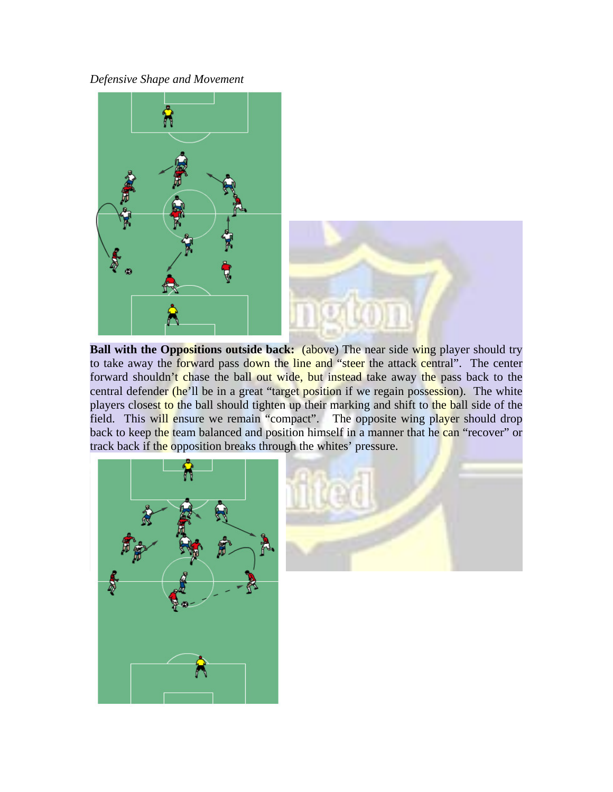*Defensive Shape and Movement* 



**Ball with the Oppositions outside back:** (above) The near side wing player should try to take away the forward pass down the line and "steer the attack central". The center forward shouldn't chase the ball out wide, but instead take away the pass back to the central defender (he'll be in a great "target position if we regain possession). The white players closest to the ball should tighten up their marking and shift to the ball side of the field. This will ensure we remain "compact". The opposite wing player should drop back to keep the team balanced and position himself in a manner that he can "recover" or track back if the opposition breaks through the whites' pressure.